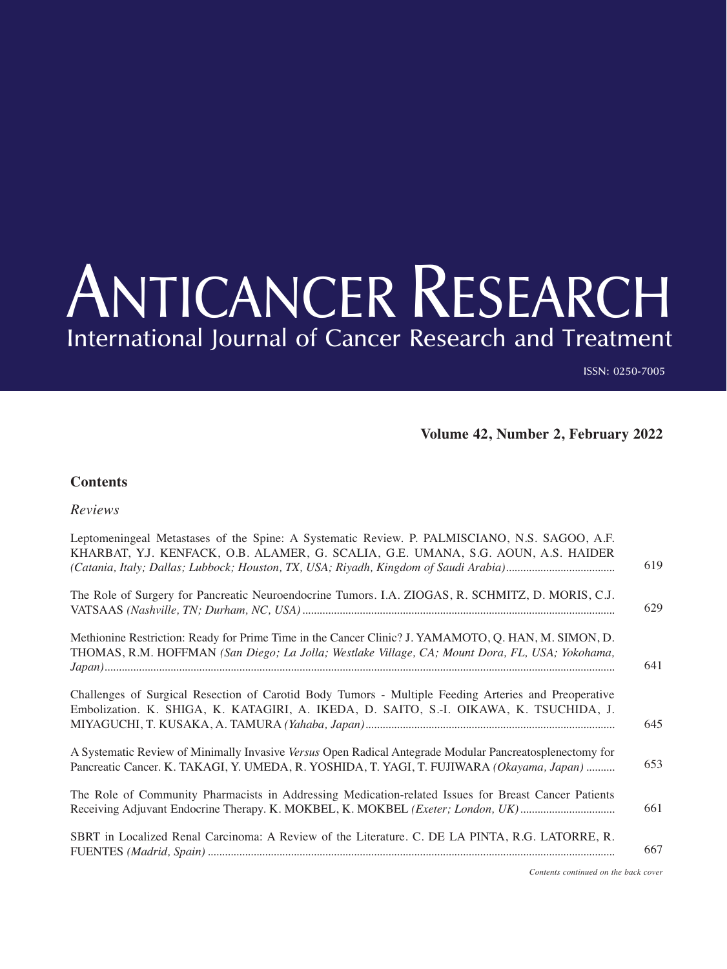## ANTICANCER RESEARCH International Journal of Cancer Research and Treatment

ISSN: 0250-7005

**Volume 42, Number 2, February 2022**

## **Contents**

*Reviews*

| Leptomeningeal Metastases of the Spine: A Systematic Review. P. PALMISCIANO, N.S. SAGOO, A.F.<br>KHARBAT, Y.J. KENFACK, O.B. ALAMER, G. SCALIA, G.E. UMANA, S.G. AOUN, A.S. HAIDER                      | 619 |
|---------------------------------------------------------------------------------------------------------------------------------------------------------------------------------------------------------|-----|
| The Role of Surgery for Pancreatic Neuroendocrine Tumors. I.A. ZIOGAS, R. SCHMITZ, D. MORIS, C.J.                                                                                                       | 629 |
| Methionine Restriction: Ready for Prime Time in the Cancer Clinic? J. YAMAMOTO, Q. HAN, M. SIMON, D.<br>THOMAS, R.M. HOFFMAN (San Diego; La Jolla; Westlake Village, CA; Mount Dora, FL, USA; Yokohama, | 641 |
| Challenges of Surgical Resection of Carotid Body Tumors - Multiple Feeding Arteries and Preoperative<br>Embolization. K. SHIGA, K. KATAGIRI, A. IKEDA, D. SAITO, S.-I. OIKAWA, K. TSUCHIDA, J.          | 645 |
| A Systematic Review of Minimally Invasive Versus Open Radical Antegrade Modular Pancreatosplenectomy for<br>Pancreatic Cancer. K. TAKAGI, Y. UMEDA, R. YOSHIDA, T. YAGI, T. FUJIWARA (Okayama, Japan)   | 653 |
| The Role of Community Pharmacists in Addressing Medication-related Issues for Breast Cancer Patients<br>Receiving Adjuvant Endocrine Therapy. K. MOKBEL, K. MOKBEL (Exeter; London, UK)                 | 661 |
| SBRT in Localized Renal Carcinoma: A Review of the Literature. C. DE LA PINTA, R.G. LATORRE, R.                                                                                                         | 667 |
|                                                                                                                                                                                                         |     |

*Contents continued on the back cover*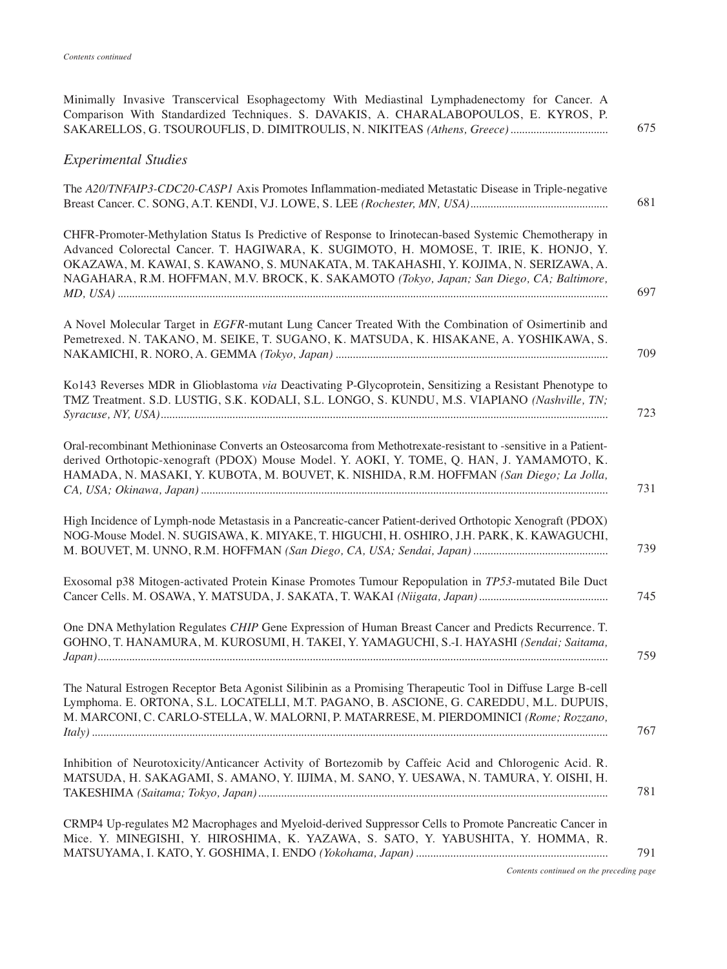| Comparison With Standardized Techniques. S. DAVAKIS, A. CHARALABOPOULOS, E. KYROS, P.<br>675                                                                                                                                                                                                                                                                                                |
|---------------------------------------------------------------------------------------------------------------------------------------------------------------------------------------------------------------------------------------------------------------------------------------------------------------------------------------------------------------------------------------------|
| <b>Experimental Studies</b>                                                                                                                                                                                                                                                                                                                                                                 |
| The A20/TNFAIP3-CDC20-CASP1 Axis Promotes Inflammation-mediated Metastatic Disease in Triple-negative<br>681                                                                                                                                                                                                                                                                                |
| CHFR-Promoter-Methylation Status Is Predictive of Response to Irinotecan-based Systemic Chemotherapy in<br>Advanced Colorectal Cancer. T. HAGIWARA, K. SUGIMOTO, H. MOMOSE, T. IRIE, K. HONJO, Y.<br>OKAZAWA, M. KAWAI, S. KAWANO, S. MUNAKATA, M. TAKAHASHI, Y. KOJIMA, N. SERIZAWA, A.<br>NAGAHARA, R.M. HOFFMAN, M.V. BROCK, K. SAKAMOTO (Tokyo, Japan; San Diego, CA; Baltimore,<br>697 |
| A Novel Molecular Target in EGFR-mutant Lung Cancer Treated With the Combination of Osimertinib and<br>Pemetrexed. N. TAKANO, M. SEIKE, T. SUGANO, K. MATSUDA, K. HISAKANE, A. YOSHIKAWA, S.<br>709                                                                                                                                                                                         |
| Ko143 Reverses MDR in Glioblastoma via Deactivating P-Glycoprotein, Sensitizing a Resistant Phenotype to<br>TMZ Treatment. S.D. LUSTIG, S.K. KODALI, S.L. LONGO, S. KUNDU, M.S. VIAPIANO (Nashville, TN;<br>723                                                                                                                                                                             |
| Oral-recombinant Methioninase Converts an Osteosarcoma from Methotrexate-resistant to -sensitive in a Patient-<br>derived Orthotopic-xenograft (PDOX) Mouse Model. Y. AOKI, Y. TOME, Q. HAN, J. YAMAMOTO, K.<br>HAMADA, N. MASAKI, Y. KUBOTA, M. BOUVET, K. NISHIDA, R.M. HOFFMAN (San Diego; La Jolla,<br>731                                                                              |
| High Incidence of Lymph-node Metastasis in a Pancreatic-cancer Patient-derived Orthotopic Xenograft (PDOX)<br>NOG-Mouse Model. N. SUGISAWA, K. MIYAKE, T. HIGUCHI, H. OSHIRO, J.H. PARK, K. KAWAGUCHI,<br>739                                                                                                                                                                               |
| Exosomal p38 Mitogen-activated Protein Kinase Promotes Tumour Repopulation in TP53-mutated Bile Duct<br>745                                                                                                                                                                                                                                                                                 |
| One DNA Methylation Regulates CHIP Gene Expression of Human Breast Cancer and Predicts Recurrence. T.<br>GOHNO, T. HANAMURA, M. KUROSUMI, H. TAKEI, Y. YAMAGUCHI, S.-I. HAYASHI (Sendai; Saitama,<br>759                                                                                                                                                                                    |
| The Natural Estrogen Receptor Beta Agonist Silibinin as a Promising Therapeutic Tool in Diffuse Large B-cell<br>Lymphoma. E. ORTONA, S.L. LOCATELLI, M.T. PAGANO, B. ASCIONE, G. CAREDDU, M.L. DUPUIS,<br>M. MARCONI, C. CARLO-STELLA, W. MALORNI, P. MATARRESE, M. PIERDOMINICI (Rome; Rozzano,<br>767                                                                                     |
| Inhibition of Neurotoxicity/Anticancer Activity of Bortezomib by Caffeic Acid and Chlorogenic Acid. R.<br>MATSUDA, H. SAKAGAMI, S. AMANO, Y. IIJIMA, M. SANO, Y. UESAWA, N. TAMURA, Y. OISHI, H.<br>781                                                                                                                                                                                     |
| CRMP4 Up-regulates M2 Macrophages and Myeloid-derived Suppressor Cells to Promote Pancreatic Cancer in<br>Mice. Y. MINEGISHI, Y. HIROSHIMA, K. YAZAWA, S. SATO, Y. YABUSHITA, Y. HOMMA, R.<br>791                                                                                                                                                                                           |
| Contents continued on the preceding page                                                                                                                                                                                                                                                                                                                                                    |

Minimally Invasive Transcervical Esophagectomy With Mediastinal Lymphadenectomy for Cancer. A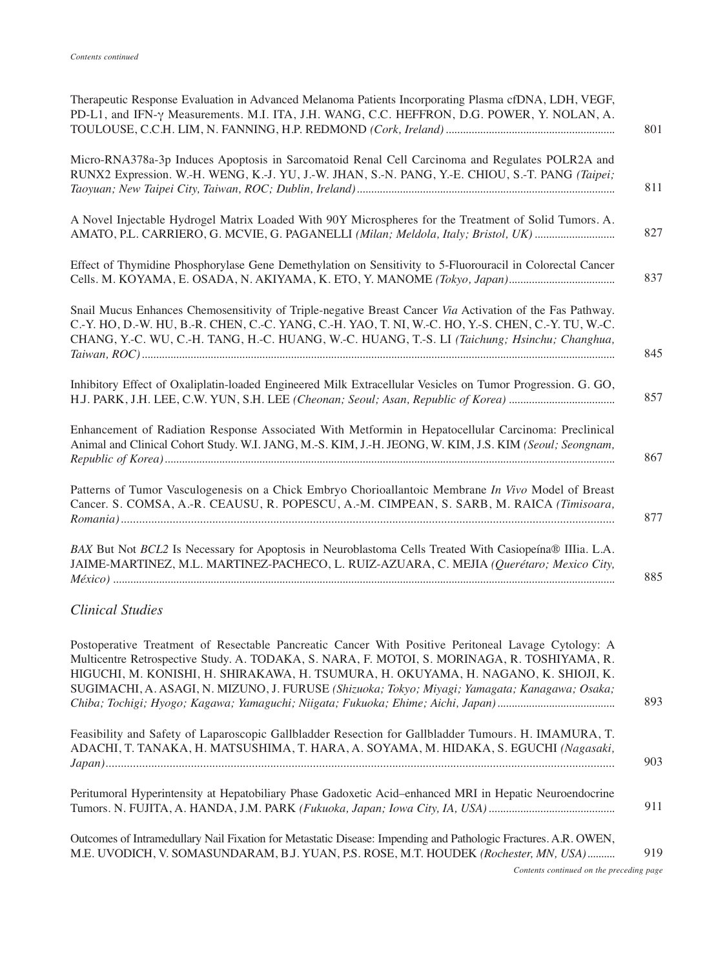| Therapeutic Response Evaluation in Advanced Melanoma Patients Incorporating Plasma cfDNA, LDH, VEGF,<br>PD-L1, and IFN- $\gamma$ Measurements. M.I. ITA, J.H. WANG, C.C. HEFFRON, D.G. POWER, Y. NOLAN, A.                                                                                                        | 801 |
|-------------------------------------------------------------------------------------------------------------------------------------------------------------------------------------------------------------------------------------------------------------------------------------------------------------------|-----|
| Micro-RNA378a-3p Induces Apoptosis in Sarcomatoid Renal Cell Carcinoma and Regulates POLR2A and<br>RUNX2 Expression. W.-H. WENG, K.-J. YU, J.-W. JHAN, S.-N. PANG, Y.-E. CHIOU, S.-T. PANG (Taipei;                                                                                                               | 811 |
| A Novel Injectable Hydrogel Matrix Loaded With 90Y Microspheres for the Treatment of Solid Tumors. A.<br>AMATO, P.L. CARRIERO, G. MCVIE, G. PAGANELLI (Milan; Meldola, Italy; Bristol, UK)                                                                                                                        | 827 |
| Effect of Thymidine Phosphorylase Gene Demethylation on Sensitivity to 5-Fluorouracil in Colorectal Cancer                                                                                                                                                                                                        | 837 |
| Snail Mucus Enhances Chemosensitivity of Triple-negative Breast Cancer Via Activation of the Fas Pathway.<br>C.-Y. HO, D.-W. HU, B.-R. CHEN, C.-C. YANG, C.-H. YAO, T. NI, W.-C. HO, Y.-S. CHEN, C.-Y. TU, W.-C.<br>CHANG, Y.-C. WU, C.-H. TANG, H.-C. HUANG, W.-C. HUANG, T.-S. LI (Taichung; Hsinchu; Changhua, | 845 |
| Inhibitory Effect of Oxaliplatin-loaded Engineered Milk Extracellular Vesicles on Tumor Progression. G. GO,                                                                                                                                                                                                       | 857 |
| Enhancement of Radiation Response Associated With Metformin in Hepatocellular Carcinoma: Preclinical<br>Animal and Clinical Cohort Study. W.I. JANG, M.-S. KIM, J.-H. JEONG, W. KIM, J.S. KIM (Seoul; Seongnam,                                                                                                   | 867 |
| Patterns of Tumor Vasculogenesis on a Chick Embryo Chorioallantoic Membrane In Vivo Model of Breast<br>Cancer. S. COMSA, A.-R. CEAUSU, R. POPESCU, A.-M. CIMPEAN, S. SARB, M. RAICA (Timisoara,                                                                                                                   | 877 |
| BAX But Not BCL2 Is Necessary for Apoptosis in Neuroblastoma Cells Treated With Casiopeína® IIIia. L.A.<br>JAIME-MARTINEZ, M.L. MARTINEZ-PACHECO, L. RUIZ-AZUARA, C. MEJIA (Querétaro; Mexico City,                                                                                                               | 885 |

## *Clinical Studies*

| Postoperative Treatment of Resectable Pancreatic Cancer With Positive Peritoneal Lavage Cytology: A<br>Multicentre Retrospective Study. A. TODAKA, S. NARA, F. MOTOI, S. MORINAGA, R. TOSHIYAMA, R.<br>HIGUCHI, M. KONISHI, H. SHIRAKAWA, H. TSUMURA, H. OKUYAMA, H. NAGANO, K. SHIOJI, K.<br>SUGIMACHI, A. ASAGI, N. MIZUNO, J. FURUSE (Shizuoka; Tokyo; Miyagi; Yamagata; Kanagawa; Osaka; | 893 |
|----------------------------------------------------------------------------------------------------------------------------------------------------------------------------------------------------------------------------------------------------------------------------------------------------------------------------------------------------------------------------------------------|-----|
| Feasibility and Safety of Laparoscopic Gallbladder Resection for Gallbladder Tumours. H. IMAMURA, T.<br>ADACHI, T. TANAKA, H. MATSUSHIMA, T. HARA, A. SOYAMA, M. HIDAKA, S. EGUCHI (Nagasaki,                                                                                                                                                                                                | 903 |
| Peritumoral Hyperintensity at Hepatobiliary Phase Gadoxetic Acid-enhanced MRI in Hepatic Neuroendocrine                                                                                                                                                                                                                                                                                      | 911 |
| Outcomes of Intramedullary Nail Fixation for Metastatic Disease: Impending and Pathologic Fractures. A.R. OWEN,<br>M.E. UVODICH, V. SOMASUNDARAM, B.J. YUAN, P.S. ROSE, M.T. HOUDEK (Rochester, MN, USA)                                                                                                                                                                                     | 919 |

*Contents continued on the preceding page*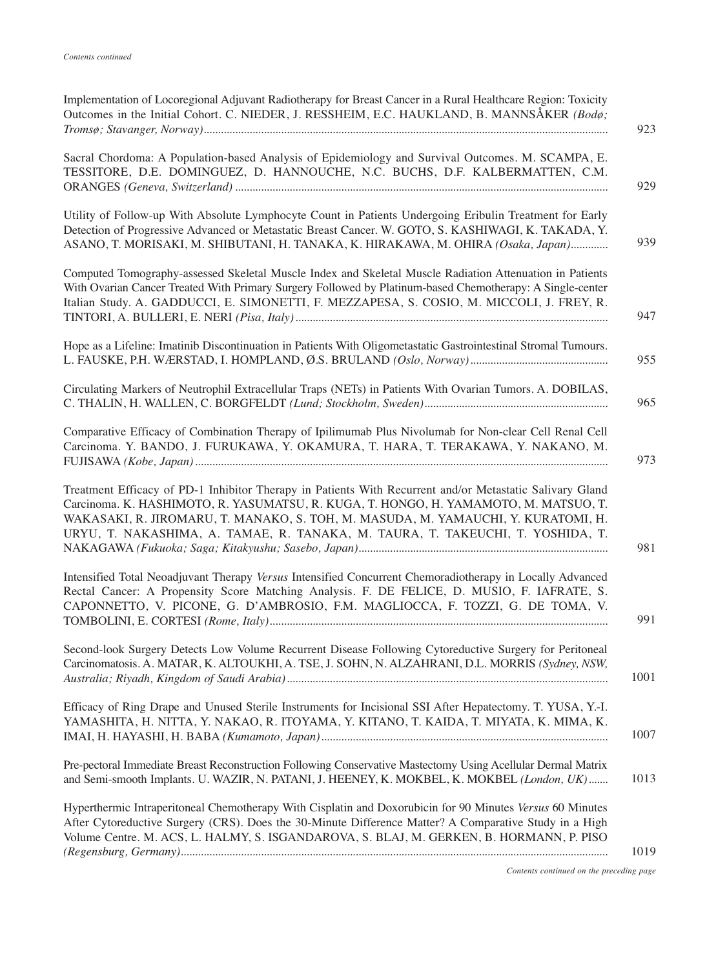| Implementation of Locoregional Adjuvant Radiotherapy for Breast Cancer in a Rural Healthcare Region: Toxicity<br>Outcomes in the Initial Cohort. C. NIEDER, J. RESSHEIM, E.C. HAUKLAND, B. MANNSÅKER (Bodø;                                                                                                                                                             | 923  |
|-------------------------------------------------------------------------------------------------------------------------------------------------------------------------------------------------------------------------------------------------------------------------------------------------------------------------------------------------------------------------|------|
| Sacral Chordoma: A Population-based Analysis of Epidemiology and Survival Outcomes. M. SCAMPA, E.<br>TESSITORE, D.E. DOMINGUEZ, D. HANNOUCHE, N.C. BUCHS, D.F. KALBERMATTEN, C.M.                                                                                                                                                                                       | 929  |
| Utility of Follow-up With Absolute Lymphocyte Count in Patients Undergoing Eribulin Treatment for Early<br>Detection of Progressive Advanced or Metastatic Breast Cancer. W. GOTO, S. KASHIWAGI, K. TAKADA, Y.<br>ASANO, T. MORISAKI, M. SHIBUTANI, H. TANAKA, K. HIRAKAWA, M. OHIRA (Osaka, Japan)                                                                     | 939  |
| Computed Tomography-assessed Skeletal Muscle Index and Skeletal Muscle Radiation Attenuation in Patients<br>With Ovarian Cancer Treated With Primary Surgery Followed by Platinum-based Chemotherapy: A Single-center<br>Italian Study. A. GADDUCCI, E. SIMONETTI, F. MEZZAPESA, S. COSIO, M. MICCOLI, J. FREY, R.                                                      | 947  |
| Hope as a Lifeline: Imatinib Discontinuation in Patients With Oligometastatic Gastrointestinal Stromal Tumours.                                                                                                                                                                                                                                                         | 955  |
| Circulating Markers of Neutrophil Extracellular Traps (NETs) in Patients With Ovarian Tumors. A. DOBILAS,                                                                                                                                                                                                                                                               | 965  |
| Comparative Efficacy of Combination Therapy of Ipilimumab Plus Nivolumab for Non-clear Cell Renal Cell<br>Carcinoma. Y. BANDO, J. FURUKAWA, Y. OKAMURA, T. HARA, T. TERAKAWA, Y. NAKANO, M.                                                                                                                                                                             | 973  |
| Treatment Efficacy of PD-1 Inhibitor Therapy in Patients With Recurrent and/or Metastatic Salivary Gland<br>Carcinoma. K. HASHIMOTO, R. YASUMATSU, R. KUGA, T. HONGO, H. YAMAMOTO, M. MATSUO, T.<br>WAKASAKI, R. JIROMARU, T. MANAKO, S. TOH, M. MASUDA, M. YAMAUCHI, Y. KURATOMI, H.<br>URYU, T. NAKASHIMA, A. TAMAE, R. TANAKA, M. TAURA, T. TAKEUCHI, T. YOSHIDA, T. | 981  |
| Intensified Total Neoadjuvant Therapy Versus Intensified Concurrent Chemoradiotherapy in Locally Advanced<br>Rectal Cancer: A Propensity Score Matching Analysis. F. DE FELICE, D. MUSIO, F. IAFRATE, S.<br>CAPONNETTO, V. PICONE, G. D'AMBROSIO, F.M. MAGLIOCCA, F. TOZZI, G. DE TOMA, V.                                                                              | 991  |
| Second-look Surgery Detects Low Volume Recurrent Disease Following Cytoreductive Surgery for Peritoneal<br>Carcinomatosis. A. MATAR, K. ALTOUKHI, A. TSE, J. SOHN, N. ALZAHRANI, D.L. MORRIS (Sydney, NSW,                                                                                                                                                              | 1001 |
| Efficacy of Ring Drape and Unused Sterile Instruments for Incisional SSI After Hepatectomy. T. YUSA, Y.-I.<br>YAMASHITA, H. NITTA, Y. NAKAO, R. ITOYAMA, Y. KITANO, T. KAIDA, T. MIYATA, K. MIMA, K.                                                                                                                                                                    | 1007 |
| Pre-pectoral Immediate Breast Reconstruction Following Conservative Mastectomy Using Acellular Dermal Matrix<br>and Semi-smooth Implants. U. WAZIR, N. PATANI, J. HEENEY, K. MOKBEL, K. MOKBEL (London, UK)                                                                                                                                                             | 1013 |
| Hyperthermic Intraperitoneal Chemotherapy With Cisplatin and Doxorubicin for 90 Minutes Versus 60 Minutes<br>After Cytoreductive Surgery (CRS). Does the 30-Minute Difference Matter? A Comparative Study in a High<br>Volume Centre. M. ACS, L. HALMY, S. ISGANDAROVA, S. BLAJ, M. GERKEN, B. HORMANN, P. PISO                                                         | 1019 |
|                                                                                                                                                                                                                                                                                                                                                                         |      |

*Contents continued on the preceding page*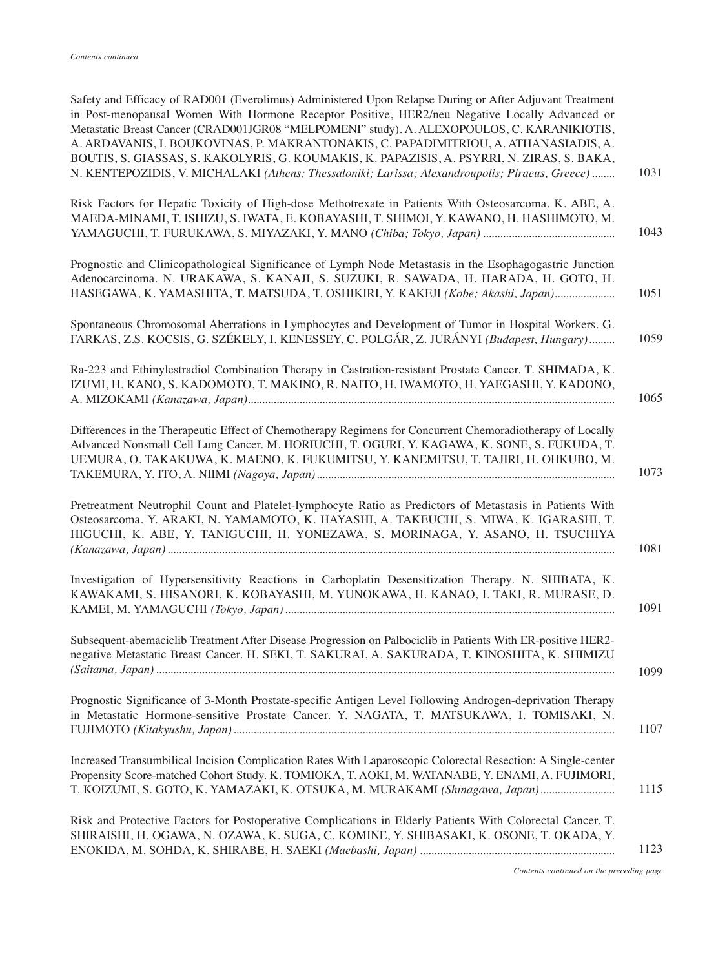| Safety and Efficacy of RAD001 (Everolimus) Administered Upon Relapse During or After Adjuvant Treatment<br>in Post-menopausal Women With Hormone Receptor Positive, HER2/neu Negative Locally Advanced or<br>Metastatic Breast Cancer (CRAD001JGR08 "MELPOMENI" study). A. ALEXOPOULOS, C. KARANIKIOTIS,<br>A. ARDAVANIS, I. BOUKOVINAS, P. MAKRANTONAKIS, C. PAPADIMITRIOU, A. ATHANASIADIS, A.<br>BOUTIS, S. GIASSAS, S. KAKOLYRIS, G. KOUMAKIS, K. PAPAZISIS, A. PSYRRI, N. ZIRAS, S. BAKA,<br>N. KENTEPOZIDIS, V. MICHALAKI (Athens; Thessaloniki; Larissa; Alexandroupolis; Piraeus, Greece)<br>1031 |  |
|-----------------------------------------------------------------------------------------------------------------------------------------------------------------------------------------------------------------------------------------------------------------------------------------------------------------------------------------------------------------------------------------------------------------------------------------------------------------------------------------------------------------------------------------------------------------------------------------------------------|--|
| Risk Factors for Hepatic Toxicity of High-dose Methotrexate in Patients With Osteosarcoma. K. ABE, A.<br>MAEDA-MINAMI, T. ISHIZU, S. IWATA, E. KOBAYASHI, T. SHIMOI, Y. KAWANO, H. HASHIMOTO, M.<br>1043                                                                                                                                                                                                                                                                                                                                                                                                  |  |
| Prognostic and Clinicopathological Significance of Lymph Node Metastasis in the Esophagogastric Junction<br>Adenocarcinoma. N. URAKAWA, S. KANAJI, S. SUZUKI, R. SAWADA, H. HARADA, H. GOTO, H.<br>HASEGAWA, K. YAMASHITA, T. MATSUDA, T. OSHIKIRI, Y. KAKEJI (Kobe; Akashi, Japan)<br>1051                                                                                                                                                                                                                                                                                                               |  |
| Spontaneous Chromosomal Aberrations in Lymphocytes and Development of Tumor in Hospital Workers. G.<br>FARKAS, Z.S. KOCSIS, G. SZÉKELY, I. KENESSEY, C. POLGÁR, Z. JURÁNYI (Budapest, Hungary)<br>1059                                                                                                                                                                                                                                                                                                                                                                                                    |  |
| Ra-223 and Ethinylestradiol Combination Therapy in Castration-resistant Prostate Cancer. T. SHIMADA, K.<br>IZUMI, H. KANO, S. KADOMOTO, T. MAKINO, R. NAITO, H. IWAMOTO, H. YAEGASHI, Y. KADONO,<br>1065                                                                                                                                                                                                                                                                                                                                                                                                  |  |
| Differences in the Therapeutic Effect of Chemotherapy Regimens for Concurrent Chemoradiotherapy of Locally<br>Advanced Nonsmall Cell Lung Cancer. M. HORIUCHI, T. OGURI, Y. KAGAWA, K. SONE, S. FUKUDA, T.<br>UEMURA, O. TAKAKUWA, K. MAENO, K. FUKUMITSU, Y. KANEMITSU, T. TAJIRI, H. OHKUBO, M.<br>1073                                                                                                                                                                                                                                                                                                 |  |
| Pretreatment Neutrophil Count and Platelet-lymphocyte Ratio as Predictors of Metastasis in Patients With<br>Osteosarcoma. Y. ARAKI, N. YAMAMOTO, K. HAYASHI, A. TAKEUCHI, S. MIWA, K. IGARASHI, T.<br>HIGUCHI, K. ABE, Y. TANIGUCHI, H. YONEZAWA, S. MORINAGA, Y. ASANO, H. TSUCHIYA<br>1081                                                                                                                                                                                                                                                                                                              |  |
| Investigation of Hypersensitivity Reactions in Carboplatin Desensitization Therapy. N. SHIBATA, K.<br>KAWAKAMI, S. HISANORI, K. KOBAYASHI, M. YUNOKAWA, H. KANAO, I. TAKI, R. MURASE, D.<br>1091                                                                                                                                                                                                                                                                                                                                                                                                          |  |
| Subsequent-abemaciclib Treatment After Disease Progression on Palbociclib in Patients With ER-positive HER2-<br>negative Metastatic Breast Cancer. H. SEKI, T. SAKURAI, A. SAKURADA, T. KINOSHITA, K. SHIMIZU<br>1099                                                                                                                                                                                                                                                                                                                                                                                     |  |
| Prognostic Significance of 3-Month Prostate-specific Antigen Level Following Androgen-deprivation Therapy<br>in Metastatic Hormone-sensitive Prostate Cancer. Y. NAGATA, T. MATSUKAWA, I. TOMISAKI, N.<br>1107                                                                                                                                                                                                                                                                                                                                                                                            |  |
| Increased Transumbilical Incision Complication Rates With Laparoscopic Colorectal Resection: A Single-center<br>Propensity Score-matched Cohort Study. K. TOMIOKA, T. AOKI, M. WATANABE, Y. ENAMI, A. FUJIMORI,<br>1115<br>T. KOIZUMI, S. GOTO, K. YAMAZAKI, K. OTSUKA, M. MURAKAMI (Shinagawa, Japan)                                                                                                                                                                                                                                                                                                    |  |
| Risk and Protective Factors for Postoperative Complications in Elderly Patients With Colorectal Cancer. T.<br>SHIRAISHI, H. OGAWA, N. OZAWA, K. SUGA, C. KOMINE, Y. SHIBASAKI, K. OSONE, T. OKADA, Y.<br>1123                                                                                                                                                                                                                                                                                                                                                                                             |  |

*Contents continued on the preceding page*